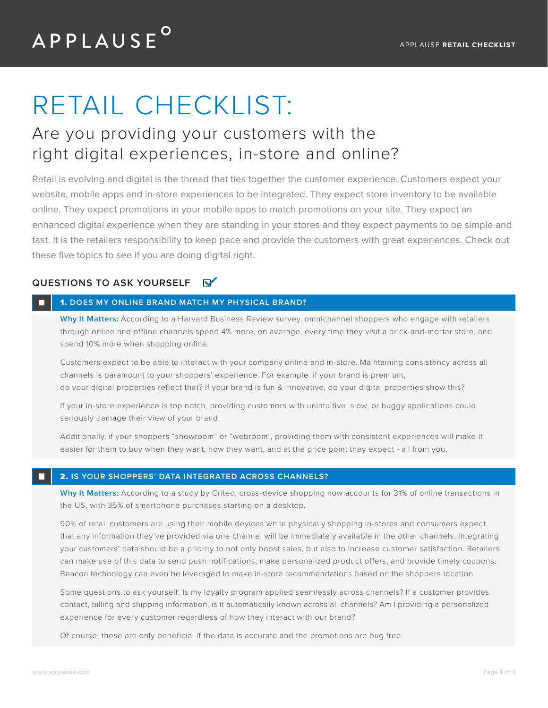# RETAIL CHECKLIST:

# Are you providing your customers with the right digital experiences, in-store and online?

Retail is evolving and digital is the thread that ties together the customer experience. Customers expect your website, mobile apps and in-store experiences to be integrated. They expect store inventory to be available online. They expect promotions in your mobile apps to match promotions on your site. They expect an enhanced digital experience when they are standing in your stores and they expect payments to be simple and fast. It is the retailers responsibility to keep pace and provide the customers with great experiences. Check out these five topics to see if you are doing digital right.

#### **QUESTIONS TO ASK YOURSELF**   $\blacktriangledown$

#### 1. **DOES MY ONLINE BRAND MATCH MY PHYSICAL BRAND?**

**Why It Matters:** According to a Harvard Business Review survey, omnichannel shoppers who engage with retailers through online and offline channels spend 4% more, on average, every time they visit a brick-and-mortar store, and spend 10% more when shopping online.

Customers expect to be able to interact with your company online and in-store. Maintaining consistency across all channels is paramount to your shoppers' experience. For example: if your brand is premium, do your digital properties reflect that? If your brand is fun & innovative, do your digital properties show this?

If your in-store experience is top notch, providing customers with unintuitive, slow, or buggy applications could seriously damage their view of your brand.

Additionally, if your shoppers "showroom" or "webroom", providing them with consistent experiences will make it easier for them to buy when they want, how they want, and at the price point they expect - all from you.

### 2. **IS YOUR SHOPPERS' DATA INTEGRATED ACROSS CHANNELS?**

**Why It Matters:** According to a study by Criteo, cross-device shopping now accounts for 31% of online transactions in the US, with 35% of smartphone purchases starting on a desktop.

90% of retail customers are using their mobile devices while physically shopping in-stores and consumers expect that any information they've provided via one channel will be immediately available in the other channels. Integrating your customers' data should be a priority to not only boost sales, but also to increase customer satisfaction. Retailers can make use of this data to send push notifications, make personalized product offers, and provide timely coupons. Beacon technology can even be leveraged to make in-store recommendations based on the shoppers location.

Some questions to ask yourself: Is my loyalty program applied seamlessly across channels? If a customer provides contact, billing and shipping information, is it automatically known across all channels? Am I providing a personalized experience for every customer regardless of how they interact with our brand?

Of course, these are only beneficial if the data is accurate and the promotions are bug free.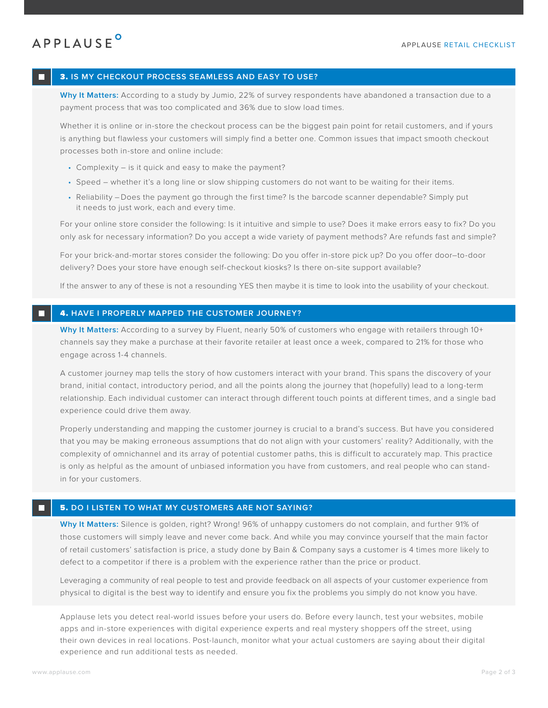## APPLAUSE<sup>o</sup>

### 3. **IS MY CHECKOUT PROCESS SEAMLESS AND EASY TO USE?**

**Why It Matters:** According to a study by Jumio, 22% of survey respondents have abandoned a transaction due to a payment process that was too complicated and 36% due to slow load times.

Whether it is online or in-store the checkout process can be the biggest pain point for retail customers, and if yours is anything but flawless your customers will simply find a better one. Common issues that impact smooth checkout processes both in-store and online include:

- Complexity is it quick and easy to make the payment?
- Speed whether it's a long line or slow shipping customers do not want to be waiting for their items.
- Reliability Does the payment go through the first time? Is the barcode scanner dependable? Simply put it needs to just work, each and every time.

For your online store consider the following: Is it intuitive and simple to use? Does it make errors easy to fix? Do you only ask for necessary information? Do you accept a wide variety of payment methods? Are refunds fast and simple?

For your brick-and-mortar stores consider the following: Do you offer in-store pick up? Do you offer door–to-door delivery? Does your store have enough self-checkout kiosks? Is there on-site support available?

If the answer to any of these is not a resounding YES then maybe it is time to look into the usability of your checkout.

### 4. **HAVE I PROPERLY MAPPED THE CUSTOMER JOURNEY?**

**Why It Matters:** According to a survey by Fluent, nearly 50% of customers who engage with retailers through 10+ channels say they make a purchase at their favorite retailer at least once a week, compared to 21% for those who engage across 1-4 channels.

A customer journey map tells the story of how customers interact with your brand. This spans the discovery of your brand, initial contact, introductory period, and all the points along the journey that (hopefully) lead to a long-term relationship. Each individual customer can interact through different touch points at different times, and a single bad experience could drive them away.

Properly understanding and mapping the customer journey is crucial to a brand's success. But have you considered that you may be making erroneous assumptions that do not align with your customers' reality? Additionally, with the complexity of omnichannel and its array of potential customer paths, this is difficult to accurately map. This practice is only as helpful as the amount of unbiased information you have from customers, and real people who can standin for your customers.

#### 5. **DO I LISTEN TO WHAT MY CUSTOMERS ARE NOT SAYING?**

**Why It Matters:** Silence is golden, right? Wrong! 96% of unhappy customers do not complain, and further 91% of those customers will simply leave and never come back. And while you may convince yourself that the main factor of retail customers' satisfaction is price, a study done by Bain & Company says a customer is 4 times more likely to defect to a competitor if there is a problem with the experience rather than the price or product.

Leveraging a community of real people to test and provide feedback on all aspects of your customer experience from physical to digital is the best way to identify and ensure you fix the problems you simply do not know you have.

Applause lets you detect real-world issues before your users do. Before every launch, test your websites, mobile apps and in-store experiences with digital experience experts and real mystery shoppers off the street, using their own devices in real locations. Post-launch, monitor what your actual customers are saying about their digital experience and run additional tests as needed.